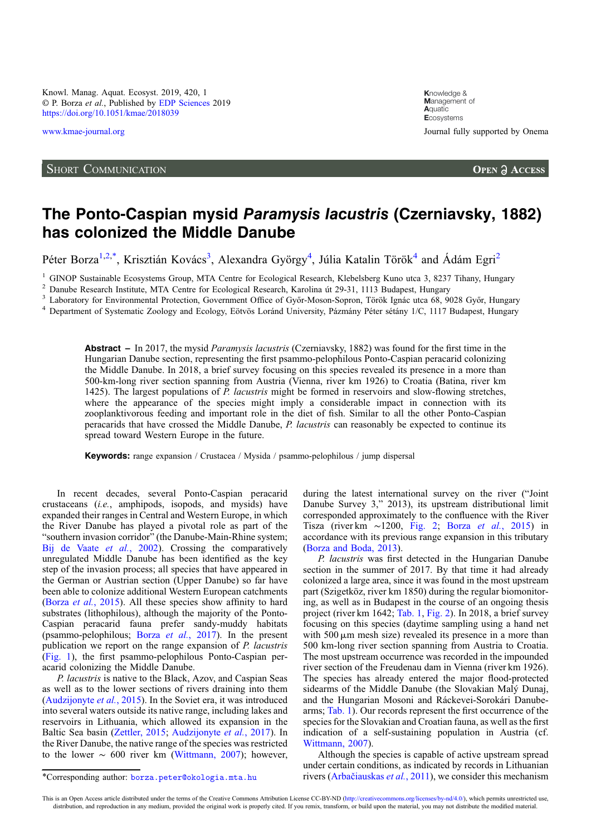Knowl. Manag. Aquat. Ecosyst. 2019, 420, 1 © P. Borza et al., Published by [EDP Sciences](https://www.edpsciences.org) 2019 <https://doi.org/10.1051/kmae/2018039>

## SHORT COMMUNICATION

**K**nowledge & **M**anagement of **A**quatic **E**cosystems [www.kmae-journal.org](https://www.kmae-journal.org) Journal fully supported by Onema

**OPEN A ACCESS** 

## The Ponto-Caspian mysid Paramysis lacustris (Czerniavsky, 1882) has colonized the Middle Danube

Péter Borza<sup>1,2,\*</sup>, Krisztián Kovács<sup>3</sup>, Alexandra György<sup>4</sup>, Júlia Katalin Török<sup>4</sup> and Ádám Egri<sup>2</sup>

<sup>1</sup> GINOP Sustainable Ecosystems Group, MTA Centre for Ecological Research, Klebelsberg Kuno utca 3, 8237 Tihany, Hungary<sup>2</sup> Danube Research Institute, MTA Centre for Ecological Research, Karolina út 29-31, 1113 Budapest,

Abstract – In 2017, the mysid *Paramysis lacustris* (Czerniavsky, 1882) was found for the first time in the Hungarian Danube section, representing the first psammo-pelophilous Ponto-Caspian peracarid colonizing the Middle Danube. In 2018, a brief survey focusing on this species revealed its presence in a more than 500-km-long river section spanning from Austria (Vienna, river km 1926) to Croatia (Batina, river km 1425). The largest populations of P. lacustris might be formed in reservoirs and slow-flowing stretches, where the appearance of the species might imply a considerable impact in connection with its zooplanktivorous feeding and important role in the diet of fish. Similar to all the other Ponto-Caspian peracarids that have crossed the Middle Danube, P. lacustris can reasonably be expected to continue its spread toward Western Europe in the future.

Keywords: range expansion / Crustacea / Mysida / psammo-pelophilous / jump dispersal

In recent decades, several Ponto-Caspian peracarid crustaceans (i.e., amphipods, isopods, and mysids) have expanded their ranges in Central and Western Europe, in which the River Danube has played a pivotal role as part of the "southern invasion corridor" (the Danube-Main-Rhine system; [Bij de Vaate](#page-2-0) et al., 2002). Crossing the comparatively unregulated Middle Danube has been identified as the key step of the invasion process; all species that have appeared in the German or Austrian section (Upper Danube) so far have been able to colonize additional Western European catchments (Borza et al.[, 2015\)](#page-2-0). All these species show affinity to hard substrates (lithophilous), although the majority of the Ponto-Caspian peracarid fauna prefer sandy-muddy habitats (psammo-pelophilous; Borza et al.[, 2017](#page-2-0)). In the present publication we report on the range expansion of P. lacustris ([Fig. 1\)](#page-1-0), the first psammo-pelophilous Ponto-Caspian peracarid colonizing the Middle Danube.

P. lacustris is native to the Black, Azov, and Caspian Seas as well as to the lower sections of rivers draining into them ([Audzijonyte](#page-2-0) et al., 2015). In the Soviet era, it was introduced into several waters outside its native range, including lakes and reservoirs in Lithuania, which allowed its expansion in the Baltic Sea basin [\(Zettler, 2015](#page-3-0); [Audzijonyte](#page-2-0) et al., 2017). In the River Danube, the native range of the species was restricted to the lower  $~0.600$  river km ([Wittmann, 2007](#page-3-0)); however, during the latest international survey on the river ("Joint Danube Survey 3," 2013), its upstream distributional limit corresponded approximately to the confluence with the River Tisza (river km ∼1200, [Fig. 2;](#page-1-0) Borza et al.[, 2015\)](#page-2-0) in accordance with its previous range expansion in this tributary ([Borza and Boda, 2013](#page-2-0)).

P. lacustris was first detected in the Hungarian Danube section in the summer of 2017. By that time it had already colonized a large area, since it was found in the most upstream part (Szigetköz, river km 1850) during the regular biomonitoring, as well as in Budapest in the course of an ongoing thesis project (river km 1642; [Tab. 1](#page-1-0), [Fig. 2](#page-1-0)). In 2018, a brief survey focusing on this species (daytime sampling using a hand net with  $500 \mu m$  mesh size) revealed its presence in a more than 500 km-long river section spanning from Austria to Croatia. The most upstream occurrence was recorded in the impounded river section of the Freudenau dam in Vienna (river km 1926). The species has already entered the major flood-protected sidearms of the Middle Danube (the Slovakian Maly Dunaj, and the Hungarian Mosoni and Ráckevei-Sorokári Danubearms; [Tab. 1\)](#page-1-0). Our records represent the first occurrence of the species for the Slovakian and Croatian fauna, as well as the first indication of a self-sustaining population in Austria (cf. [Wittmann, 2007\)](#page-3-0).

Although the species is capable of active upstream spread under certain conditions, as indicated by records in Lithuanian \*Corresponding author: [borza.peter@okologia.mta.hu](mailto:borza.peter@okologia.mta.hu) rivers (Arbač[iauskas](#page-2-0) et al., 2011), we consider this mechanism

This is an Open Access article distributed under the terms of the Creative Commons Attribution License CC-BY-ND (<http://creativecommons.org/licenses/by-nd/4.0/>), which permits unrestricted use, distribution, and reproduction in any medium, provided the original work is properly cited. If you remix, transform, or build upon the material, you may not distribute the modified material.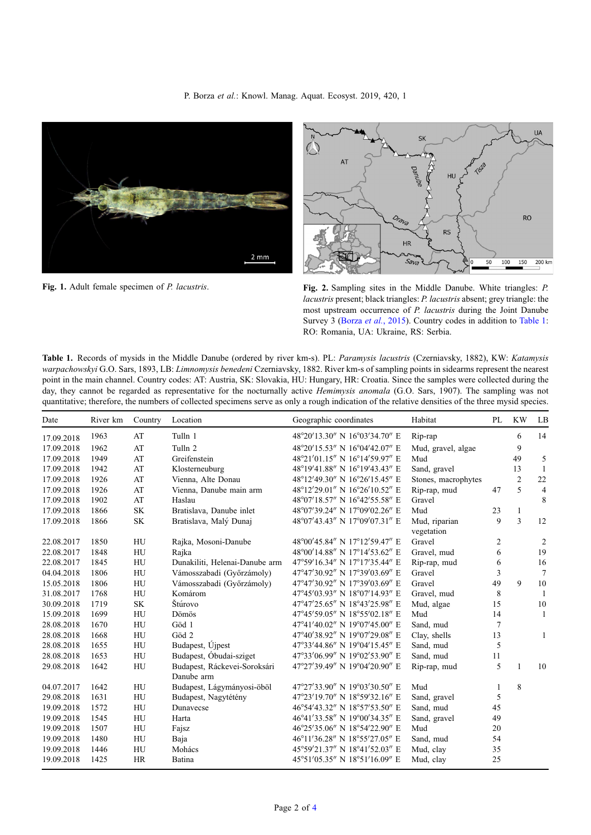P. Borza et al.: Knowl. Manag. Aquat. Ecosyst. 2019, 420, 1

<span id="page-1-0"></span>



Fig. 1. Adult female specimen of P. lacustris. Fig. 2. Sampling sites in the Middle Danube. White triangles: P. lacustris present; black triangles: P. lacustris absent; grey triangle: the most upstream occurrence of P. lacustris during the Joint Danube Survey 3 (Borza et al.[, 2015\)](#page-2-0). Country codes in addition to Table 1: RO: Romania, UA: Ukraine, RS: Serbia.

Table 1. Records of mysids in the Middle Danube (ordered by river km-s). PL: Paramysis lacustris (Czerniavsky, 1882), KW: Katamysis warpachowskyi G.O. Sars, 1893, LB: Limnomysis benedeni Czerniavsky, 1882. River km-s of sampling points in sidearms represent the nearest point in the main channel. Country codes: AT: Austria, SK: Slovakia, HU: Hungary, HR: Croatia. Since the samples were collected during the day, they cannot be regarded as representative for the nocturnally active Hemimysis anomala (G.O. Sars, 1907). The sampling was not quantitative; therefore, the numbers of collected specimens serve as only a rough indication of the relative densities of the three mysid species.

| River km<br>Geographic coordinates<br>Country<br>Location<br>Date                            |                     | PL | <b>KW</b>      | LB             |
|----------------------------------------------------------------------------------------------|---------------------|----|----------------|----------------|
| 48°20'13.30" N 16°03'34.70" E<br>Tulln 1<br>1963<br>AT<br>17.09.2018                         | Rip-rap             |    | 6              | 14             |
| AT<br>Tulln <sub>2</sub><br>48°20'15.53" N 16°04'42.07" E<br>17.09.2018<br>1962              | Mud, gravel, algae  |    | 9              |                |
| AT<br>Greifenstein<br>48°21'01.15" N 16°14'59.97" E<br>17.09.2018<br>1949                    | Mud                 |    | 49             | 5              |
| AT<br>Klosterneuburg<br>48°19'41.88" N 16°19'43.43" E<br>17.09.2018<br>1942                  | Sand, gravel        |    | 13             | -1             |
| 48°12'49.30" N 16°26'15.45" E<br>1926<br>AT<br>Vienna, Alte Donau<br>17.09.2018              | Stones, macrophytes |    | $\overline{2}$ | $22\,$         |
| 48°12'29.01" N 16°26'10.52" E<br>AT<br>17.09.2018<br>1926<br>Vienna, Danube main arm         | Rip-rap, mud        | 47 | 5              | $\overline{4}$ |
| AT<br>48°07'18.57" N 16°42'55.58" E<br>17.09.2018<br>1902<br>Haslau                          | Gravel              |    |                | 8              |
| 48°07'39.24" N 17°09'02.26" E<br>1866<br><b>SK</b><br>Bratislava, Danube inlet<br>17.09.2018 | Mud                 | 23 | $\mathbf{1}$   |                |
| 48°07'43.43" N 17°09'07.31" E<br>17.09.2018<br><b>SK</b><br>Bratislava, Malý Dunaj<br>1866   | Mud, riparian       | 9  | $\overline{3}$ | 12             |
|                                                                                              | vegetation          |    |                |                |
| 48°00'45.84" N 17°12'59.47" E<br>HU<br>22.08.2017<br>1850<br>Rajka, Mosoni-Danube            | Gravel              | 2  |                | $\overline{2}$ |
| HU<br>48°00'14.88" N 17°14'53.62" E<br>22.08.2017<br>1848<br>Rajka                           | Gravel, mud         | 6  |                | 19             |
| Dunakiliti, Helenai-Danube arm<br>47°59'16.34" N 17°17'35.44" E<br>22.08.2017<br>1845<br>HU  | Rip-rap, mud        | 6  |                | 16             |
| 47°47'30.92" N 17°39'03.69" E<br>1806<br>HU<br>Vámosszabadi (Győrzámoly)<br>04.04.2018       | Gravel              | 3  |                | $\overline{7}$ |
| 47°47'30.92" N 17°39'03.69" E<br>HU<br>Vámosszabadi (Győrzámoly)<br>15.05.2018<br>1806       | Gravel              | 49 | 9              | 10             |
| 47°45′03.93″ N 18°07′14.93″ E<br>31.08.2017<br>HU<br>Komárom<br>1768                         | Gravel, mud         | 8  |                | -1             |
| 47°47'25.65" N 18°43'25.98" E<br>Štúrovo<br>30.09.2018<br>1719<br><b>SK</b>                  | Mud, algae          | 15 |                | 10             |
| HU<br>47°45'59.05" N 18°55'02.18" E<br>15.09.2018<br>1699<br>Dömös                           | Mud                 | 14 |                | 1              |
| 47°41'40.02" N 19°07'45.00" E<br>28.08.2018<br>1670<br>HU<br>Göd 1                           | Sand, mud           | 7  |                |                |
| 47°40'38.92" N 19°07'29.08" E<br>28.08.2018<br>1668<br>HU<br>Göd 2                           | Clay, shells        | 13 |                | 1              |
| Budapest, Újpest<br>47°33'44.86" N 19°04'15.45" E<br>28.08.2018<br>1655<br>HU                | Sand, mud           | 5  |                |                |
| Budapest, Óbudai-sziget<br>HU<br>47°33'06.99" N 19°02'53.90" E<br>28.08.2018<br>1653         | Sand, mud           | 11 |                |                |
| HU<br>Budapest, Ráckevei-Soroksári<br>47°27'39.49" N 19°04'20.90" E<br>29.08.2018<br>1642    | Rip-rap, mud        | 5  | $\mathbf{1}$   | 10             |
| Danube arm                                                                                   |                     |    |                |                |
| Budapest, Lágymányosi-öböl<br>47°27'33.90" N 19°03'30.50" E<br>HU<br>04.07.2017<br>1642      | Mud                 | 1  | 8              |                |
| 47°23'19.70" N 18°59'32.16" E<br>29.08.2018<br>1631<br>HU<br>Budapest, Nagytétény            | Sand, gravel        | 5  |                |                |
| 46°54'43.32" N 18°57'53.50" E<br>19.09.2018<br>1572<br>HU<br>Dunavecse                       | Sand, mud           | 45 |                |                |
| HU<br>46°41'33.58" N 19°00'34.35" E<br>19.09.2018<br>1545<br>Harta                           | Sand, gravel        | 49 |                |                |
| 1507<br>HU<br>46°25'35.06" N 18°54'22.90" E<br>19.09.2018<br>Fajsz                           | Mud                 | 20 |                |                |
| 46°11'36.28" N 18°55'27.05" E<br>19.09.2018<br>HU<br>1480<br>Baja                            | Sand, mud           | 54 |                |                |
| 45°59'21.37" N 18°41'52.03" E<br>HU<br>19.09.2018<br>1446<br>Mohács                          | Mud, clay           | 35 |                |                |
| 1425<br><b>HR</b><br>45°51'05.35" N 18°51'16.09" E<br>19.09.2018<br>Batina                   | Mud, clay           | 25 |                |                |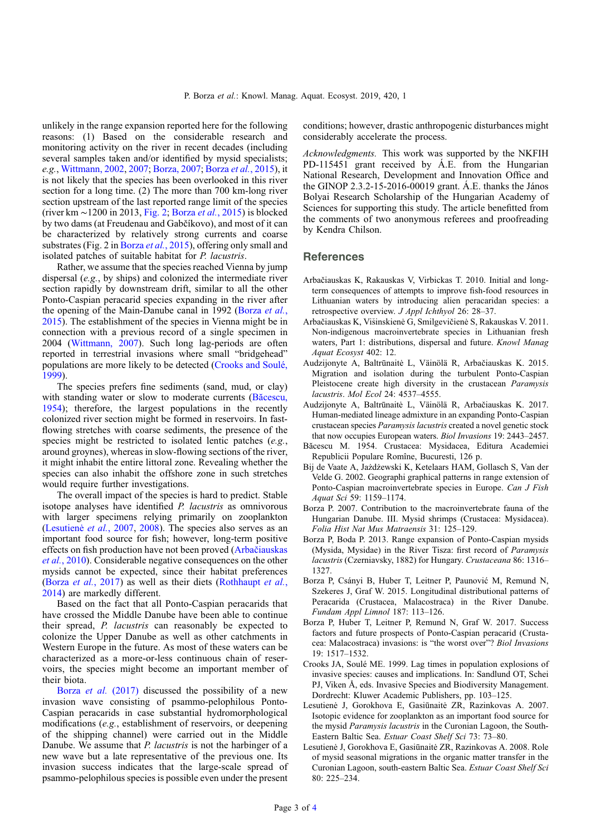<span id="page-2-0"></span>unlikely in the range expansion reported here for the following reasons: (1) Based on the considerable research and monitoring activity on the river in recent decades (including several samples taken and/or identified by mysid specialists; e.g., [Wittmann, 2002](#page-3-0), [2007;](#page-3-0) Borza, 2007; Borza et al., 2015), it is not likely that the species has been overlooked in this river section for a long time. (2) The more than 700 km-long river section upstream of the last reported range limit of the species (river km ∼1200 in 2013, [Fig. 2](#page-1-0); Borza et al., 2015) is blocked by two dams (at Freudenau and Gabčíkovo), and most of it can be characterized by relatively strong currents and coarse substrates (Fig. 2 in Borza et al., 2015), offering only small and isolated patches of suitable habitat for P. lacustris.

Rather, we assume that the species reached Vienna by jump dispersal (e.g., by ships) and colonized the intermediate river section rapidly by downstream drift, similar to all the other Ponto-Caspian peracarid species expanding in the river after the opening of the Main-Danube canal in 1992 (Borza et al., 2015). The establishment of the species in Vienna might be in connection with a previous record of a single specimen in 2004 ([Wittmann, 2007](#page-3-0)). Such long lag-periods are often reported in terrestrial invasions where small "bridgehead" populations are more likely to be detected (Crooks and Soulé, 1999).

The species prefers fine sediments (sand, mud, or clay) with standing water or slow to moderate currents (Băcescu, 1954); therefore, the largest populations in the recently colonized river section might be formed in reservoirs. In fastflowing stretches with coarse sediments, the presence of the species might be restricted to isolated lentic patches (e.g., around groynes), whereas in slow-flowing sections of the river, it might inhabit the entire littoral zone. Revealing whether the species can also inhabit the offshore zone in such stretches would require further investigations.

The overall impact of the species is hard to predict. Stable isotope analyses have identified P. lacustris as omnivorous with larger specimens relying primarily on zooplankton (Lesutienė et al., 2007, 2008). The species also serves as an important food source for fish; however, long-term positive effects on fish production have not been proved (Arbačiauskas et al., 2010). Considerable negative consequences on the other mysids cannot be expected, since their habitat preferences (Borza et al., 2017) as well as their diets ([Rothhaupt](#page-3-0) et al., [2014](#page-3-0)) are markedly different.

Based on the fact that all Ponto-Caspian peracarids that have crossed the Middle Danube have been able to continue their spread, P. lacustris can reasonably be expected to colonize the Upper Danube as well as other catchments in Western Europe in the future. As most of these waters can be characterized as a more-or-less continuous chain of reservoirs, the species might become an important member of their biota.

Borza et al. (2017) discussed the possibility of a new invasion wave consisting of psammo-pelophilous Ponto-Caspian peracarids in case substantial hydromorphological modifications (e.g., establishment of reservoirs, or deepening of the shipping channel) were carried out in the Middle Danube. We assume that *P. lacustris* is not the harbinger of a new wave but a late representative of the previous one. Its invasion success indicates that the large-scale spread of psammo-pelophilous species is possible even under the present conditions; however, drastic anthropogenic disturbances might considerably accelerate the process.

Acknowledgments. This work was supported by the NKFIH PD-115451 grant received by Á.E. from the Hungarian National Research, Development and Innovation Office and the GINOP 2.3.2-15-2016-00019 grant. Á.E. thanks the János Bolyai Research Scholarship of the Hungarian Academy of Sciences for supporting this study. The article benefitted from the comments of two anonymous referees and proofreading by Kendra Chilson.

## **References**

- Arbačiauskas K, Rakauskas V, Virbickas T. 2010. Initial and longterm consequences of attempts to improve fish-food resources in Lithuanian waters by introducing alien peracaridan species: a retrospective overview. J Appl Ichthyol 26: 28–37.
- Arbačiauskas K, Visinskienė G, Smilgevičienė S, Rakauskas V. 2011. Non-indigenous macroinvertebrate species in Lithuanian fresh waters, Part 1: distributions, dispersal and future. Knowl Manag Aquat Ecosyst 402: 12.
- Audzijonyte A, Baltrūnaitė L, Väinölä R, Arbačiauskas K. 2015. Migration and isolation during the turbulent Ponto-Caspian Pleistocene create high diversity in the crustacean Paramysis lacustris. Mol Ecol 24: 4537–4555.
- Audzijonyte A, Baltrūnaitė L, Väinölä R, Arbačiauskas K. 2017. Human-mediated lineage admixture in an expanding Ponto-Caspian crustacean species Paramysis lacustris created a novel genetic stock that now occupies European waters. Biol Invasions 19: 2443–2457.
- Băcescu M. 1954. Crustacea: Mysidacea, Editura Academiei Republicii Populare Romîne, Bucuresti, 126 p.
- Bij de Vaate A, Jażdżewski K, Ketelaars HAM, Gollasch S, Van der Velde G. 2002. Geographi graphical patterns in range extension of Ponto-Caspian macroinvertebrate species in Europe. Can J Fish Aquat Sci 59: 1159–1174.
- Borza P. 2007. Contribution to the macroinvertebrate fauna of the Hungarian Danube. III. Mysid shrimps (Crustacea: Mysidacea). Folia Hist Nat Mus Matraensis 31: 125–129.
- Borza P, Boda P. 2013. Range expansion of Ponto-Caspian mysids (Mysida, Mysidae) in the River Tisza: first record of Paramysis lacustris (Czerniavsky, 1882) for Hungary. Crustaceana 86: 1316– 1327.
- Borza P, Csányi B, Huber T, Leitner P, Paunović M, Remund N, Szekeres J, Graf W. 2015. Longitudinal distributional patterns of Peracarida (Crustacea, Malacostraca) in the River Danube. Fundam Appl Limnol 187: 113–126.
- Borza P, Huber T, Leitner P, Remund N, Graf W. 2017. Success factors and future prospects of Ponto-Caspian peracarid (Crustacea: Malacostraca) invasions: is "the worst over"? Biol Invasions 19: 1517–1532.
- Crooks JA, Soulé ME. 1999. Lag times in population explosions of invasive species: causes and implications. In: Sandlund OT, Schei PJ, Viken Å, eds. Invasive Species and Biodiversity Management. Dordrecht: Kluwer Academic Publishers, pp. 103–125.
- Lesutienė J, Gorokhova E, Gasiūnaitė ZR, Razinkovas A. 2007. Isotopic evidence for zooplankton as an important food source for the mysid Paramysis lacustris in the Curonian Lagoon, the South-Eastern Baltic Sea. Estuar Coast Shelf Sci 73: 73–80.
- Lesutienė J, Gorokhova E, Gasiūnaitė ZR, Razinkovas A. 2008. Role of mysid seasonal migrations in the organic matter transfer in the Curonian Lagoon, south-eastern Baltic Sea. Estuar Coast Shelf Sci 80: 225–234.